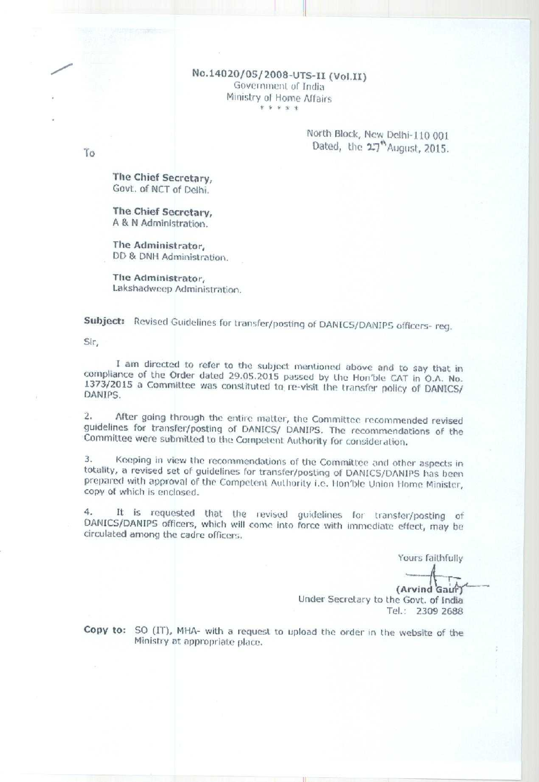No.14020/05/2008-UTS-II (Vol.II) Government of India Ministry of Home Affairs \* \* \* \* \*

## North Block, New Delhi-110 001 Dated, the 27<sup>th</sup> August, 2015.

The Chief Secretary, Govt. of NCT of Delhi.

The Chief Secretary, A & N Administration.

The Administrator, DD & DNH Administration.

The Administrator, Lakshadweep Administration.

Subject: Revised Guidelines for transfer/posting of DANICS/DANIPS officers-reg.

Sir,

I am directed to refer to the subject mentioned above and to say that in compliance of the Order dated 29.05.2015 passed by the Hon'ble CAT in O.A. No. 1373/2015 a Committee was constituted to re-visit the transfer policy of DANICS/ DANIPS.

After going through the entire matter, the Committee recommended revised  $\overline{2}$ . guidelines for transfer/posting of DANICS/ DANIPS. The recommendations of the Committee were submitted to the Competent Authority for consideration.

Keeping in view the recommendations of the Committee and other aspects in totality, a revised set of guidelines for transfer/posting of DANICS/DANIPS has been prepared with approval of the Competent Authority i.e. Hon'ble Union Home Minister, copy of which is enclosed.

It is requested that the revised guidelines for transfer/posting of 4. DANICS/DANIPS officers, which will come into force with immediate effect, may be circulated among the cadre officers.

Yours faithfully

(Arvind Gaur) Under Secretary to the Govt. of India Tel.: 2309 2688

Copy to: SO (IT), MHA- with a request to upload the order in the website of the Ministry at appropriate place.

To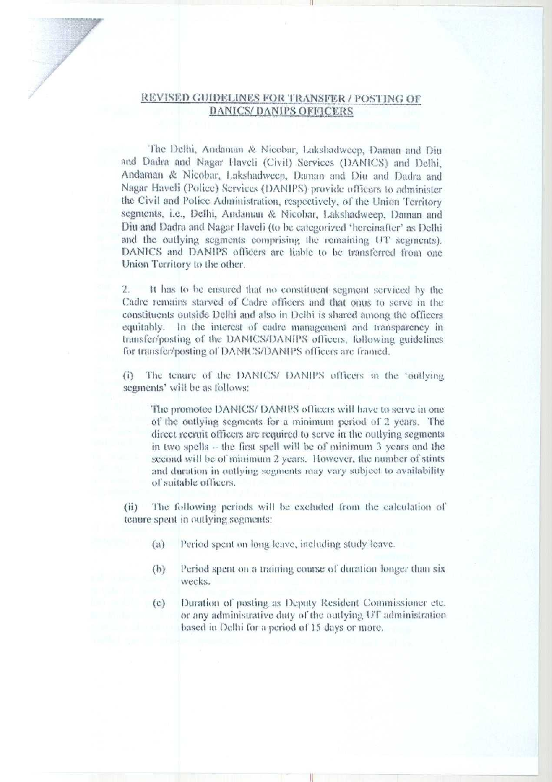## REVISED GUIDELINES FOR TRANSFER / POSTING OF **DANICS/DANIPS OFFICERS**

The Delhi, Andaman & Nicobar, Lakshadweep, Daman and Diu and Dadra and Nagar Haveli (Civil) Services (DANICS) and Delhi, Andaman & Nicobar, Lakshadweep, Daman and Diu and Dadra and Nagar Haveli (Police) Services (DANIPS) provide officers to administer the Civil and Police Administration, respectively, of the Union Territory segments, i.e., Delhi, Andaman & Nicobar, Lakshadweep, Daman and Diu and Dadra and Nagar Haveli (to be categorized 'hereinafter' as Delhi and the outlying segments comprising the remaining UT segments). DANICS and DANIPS officers are liable to be transferred from one Union Territory to the other.

It has to be ensured that no constituent segment serviced by the Cadre remains starved of Cadre officers and that onus to serve in the constituents outside Delhi and also in Delhi is shared among the officers equitably. In the interest of cadre management and transparency in transfer/posting of the DANICS/DANIPS officers, following guidelines for transfer/posting of DANICS/DANIPS officers are framed.

The tenure of the DANICS/ DANIPS officers in the 'outlying  $(i)$ segments' will be as follows:

The promotee DANICS/DANIPS officers will have to serve in one of the outlying segments for a minimum period of 2 years. The direct recruit officers are required to serve in the outlying segments in two spells  $\sim$  the first spell will be of minimum 3 years and the second will be of minimum 2 years. However, the number of stints and duration in outlying segments may vary subject to availability of suitable officers.

 $(ii)$ The following periods will be excluded from the calculation of tenure spent in outlying segments:

- Period spent on long leave, including study leave.  $(a)$
- $(b)$ Period spent on a training course of duration longer than six weeks.
- Duration of posting as Deputy Resident Commissioner etc.  $(c)$ or any administrative duty of the outlying UT administration. based in Delhi for a period of 15 days or more.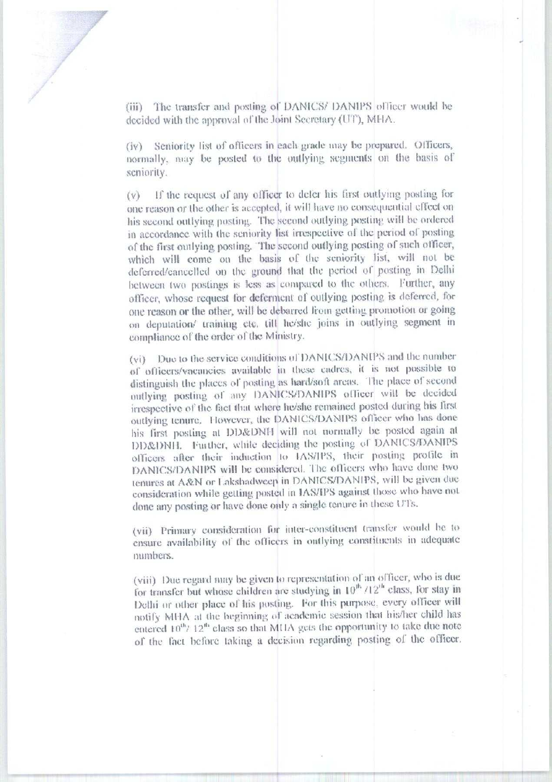(iii) The transfer and posting of DANICS/ DANIPS officer would be decided with the approval of the Joint Secretary (UT), MHA.

(iv) Seniority list of officers in each grade may be prepared. Officers, normally, may be posted to the outlying segments on the basis of seniority.

If the request of any officer to defer his first outlying posting for  $(v)$ one reason or the other is accepted, it will have no consequential effect on his second outlying posting. The second outlying posting will be ordered in accordance with the seniority list irrespective of the period of posting of the first outlying posting. The second outlying posting of such officer, which will come on the basis of the seniority list, will not be deferred/cancelled on the ground that the period of posting in Delhi between two postings is less as compared to the others. Further, any officer, whose request for deferment of outlying posting is deferred, for one reason or the other, will be debarred from getting promotion or going on deputation/ training etc. till he/she joins in outlying segment in compliance of the order of the Ministry.

(vi) Due to the service conditions of DANICS/DANIPS and the number of officers/vacancies available in these cadres, it is not possible to distinguish the places of posting as hard/soft areas. The place of second outlying posting of any DANICS/DANIPS officer will be decided irrespective of the fact that where he/she remained posted during his first outlying tenure. However, the DANICS/DANIPS officer who has done his first posting at DD&DNH will not normally be posted again at DD&DNH. Further, while deciding the posting of DANICS/DANIPS officers after their induction to IAS/IPS, their posting profile in DANICS/DANIPS will be considered. The officers who have done two tenures at A&N or Lakshadweep in DANICS/DANIPS, will be given due consideration while getting posted in IAS/IPS against those who have not done any posting or have done only a single tenure in these UTs.

(vii) Primary consideration for inter-constituent transfer would be to ensure availability of the officers in outlying constituents in adequate numbers.

(viii) Due regard may be given to representation of an officer, who is due for transfer but whose children are studying in  $10^{46}$  /12<sup>th</sup> class, for stay in Delhi or other place of his posting. For this purpose, every officer will notify MHA at the heginning of academic session that his/her child has entered 10<sup>th</sup>/ 12<sup>th</sup> class so that MHA gets the opportunity to take due note of the fact before taking a decision regarding posting of the officer.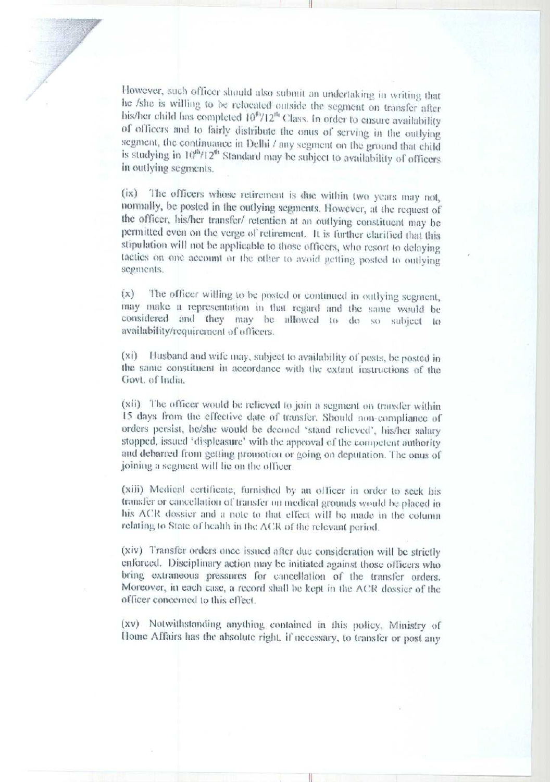However, such officer should also submit an undertaking in writing that he /she is willing to be relocated outside the segment on transfer after his/her child has completed  $10^{6}/12^{n}$  Class. In order to ensure availability of officers and to fairly distribute the onus of serving in the outlying segment, the continuance in Delhi / any segment on the ground that child is studying in 10<sup>th</sup>/12<sup>th</sup> Standard may be subject to availability of officers in outlying segments.

(ix) The officers whose retirement is due within two years may not, normally, be posted in the outlying segments. However, at the request of the officer, his/her transfer/ retention at an outlying constituent may be permitted even on the verge of retirement. It is further clarified that this stipulation will not be applicable to those officers, who resort to delaying tactics on one account or the other to avoid getting posted to outlying segments.

The officer willing to be posted or continued in outlying segment,  $(x)$ may make a representation in that regard and the same would be considered and they may be allowed to do so subject to availability/requirement of officers.

(xi) Husband and wife may, subject to availability of posts, be posted in the same constituent in accordance with the extant instructions of the Govt. of India.

(xii) The officer would be relieved to join a segment on transfer within 15 days from the effective date of transfer. Should non-compliance of orders persist, he/she would be deemed 'stand relieved', his/her salary stopped, issued 'displeasure' with the approval of the competent authority and debarred from getting promotion or going on deputation. The onus of joining a segment will lie on the officer.

(xiii) Medical certificate, furnished by an officer in order to seek his transfer or cancellation of transfer on medical grounds would be placed in his ACR dossier and a note to that effect will be made in the column relating to State of health in the ACR of the relevant period.

(xiv) Transfer orders once issued after due consideration will be strictly enforced. Disciplinary action may be initiated against those officers who bring extraneous pressures for cancellation of the transfer orders. Moreover, in each case, a record shall be kept in the ACR dossier of the officer concerned to this effect.

(xv) Notwithstanding anything contained in this policy, Ministry of Home Affairs has the absolute right, if necessary, to transfer or post any